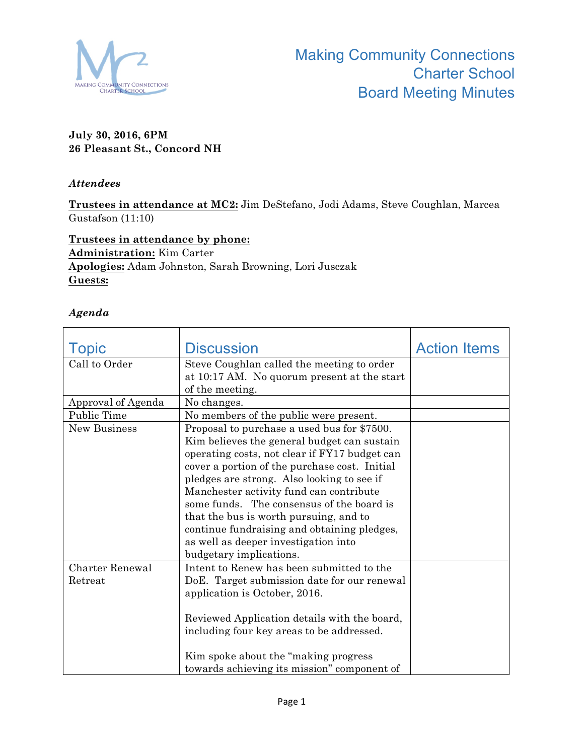

## **July 30, 2016, 6PM 26 Pleasant St., Concord NH**

## *Attendees*

**Trustees in attendance at MC2:** Jim DeStefano, Jodi Adams, Steve Coughlan, Marcea Gustafson (11:10)

**Trustees in attendance by phone: Administration:** Kim Carter **Apologies:** Adam Johnston, Sarah Browning, Lori Jusczak **Guests:**

## *Agenda*

| Topic                  | <b>Discussion</b>                             | <b>Action Items</b> |
|------------------------|-----------------------------------------------|---------------------|
| Call to Order          | Steve Coughlan called the meeting to order    |                     |
|                        | at 10:17 AM. No quorum present at the start   |                     |
|                        | of the meeting.                               |                     |
| Approval of Agenda     | No changes.                                   |                     |
| Public Time            | No members of the public were present.        |                     |
| New Business           | Proposal to purchase a used bus for \$7500.   |                     |
|                        | Kim believes the general budget can sustain   |                     |
|                        | operating costs, not clear if FY17 budget can |                     |
|                        | cover a portion of the purchase cost. Initial |                     |
|                        | pledges are strong. Also looking to see if    |                     |
|                        | Manchester activity fund can contribute       |                     |
|                        | some funds. The consensus of the board is     |                     |
|                        | that the bus is worth pursuing, and to        |                     |
|                        | continue fundraising and obtaining pledges,   |                     |
|                        | as well as deeper investigation into          |                     |
|                        | budgetary implications.                       |                     |
| <b>Charter Renewal</b> | Intent to Renew has been submitted to the     |                     |
| Retreat                | DoE. Target submission date for our renewal   |                     |
|                        | application is October, 2016.                 |                     |
|                        |                                               |                     |
|                        | Reviewed Application details with the board,  |                     |
|                        | including four key areas to be addressed.     |                     |
|                        |                                               |                     |
|                        | Kim spoke about the "making progress"         |                     |
|                        | towards achieving its mission" component of   |                     |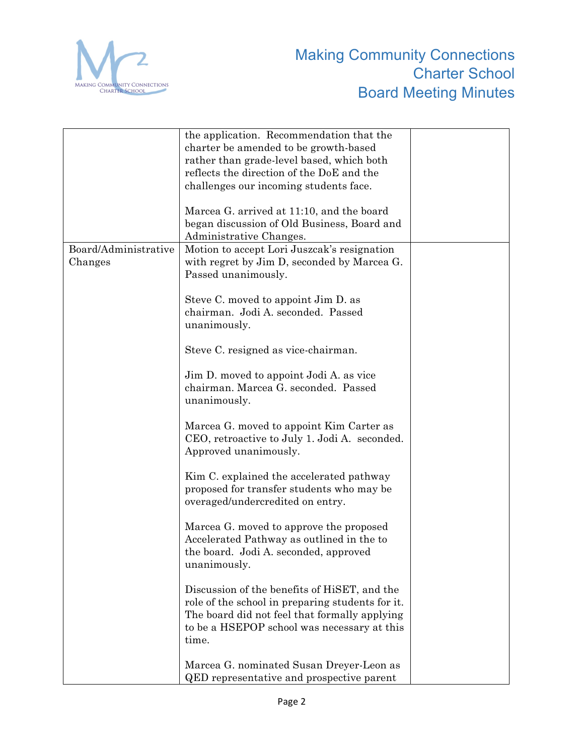

|                      | the application. Recommendation that the         |  |
|----------------------|--------------------------------------------------|--|
|                      | charter be amended to be growth-based            |  |
|                      | rather than grade-level based, which both        |  |
|                      | reflects the direction of the DoE and the        |  |
|                      | challenges our incoming students face.           |  |
|                      |                                                  |  |
|                      | Marcea G. arrived at 11:10, and the board        |  |
|                      | began discussion of Old Business, Board and      |  |
|                      | Administrative Changes.                          |  |
| Board/Administrative | Motion to accept Lori Juszcak's resignation      |  |
| Changes              | with regret by Jim D, seconded by Marcea G.      |  |
|                      | Passed unanimously.                              |  |
|                      |                                                  |  |
|                      | Steve C. moved to appoint Jim D. as              |  |
|                      | chairman. Jodi A. seconded. Passed               |  |
|                      |                                                  |  |
|                      | unanimously.                                     |  |
|                      | Steve C. resigned as vice-chairman.              |  |
|                      |                                                  |  |
|                      | Jim D. moved to appoint Jodi A. as vice          |  |
|                      | chairman. Marcea G. seconded. Passed             |  |
|                      |                                                  |  |
|                      | unanimously.                                     |  |
|                      |                                                  |  |
|                      | Marcea G. moved to appoint Kim Carter as         |  |
|                      | CEO, retroactive to July 1. Jodi A. seconded.    |  |
|                      | Approved unanimously.                            |  |
|                      |                                                  |  |
|                      | Kim C. explained the accelerated pathway         |  |
|                      | proposed for transfer students who may be        |  |
|                      | overaged/undercredited on entry.                 |  |
|                      |                                                  |  |
|                      | Marcea G. moved to approve the proposed          |  |
|                      | Accelerated Pathway as outlined in the to        |  |
|                      | the board. Jodi A. seconded, approved            |  |
|                      | unanimously.                                     |  |
|                      |                                                  |  |
|                      | Discussion of the benefits of HiSET, and the     |  |
|                      | role of the school in preparing students for it. |  |
|                      | The board did not feel that formally applying    |  |
|                      | to be a HSEPOP school was necessary at this      |  |
|                      | time.                                            |  |
|                      |                                                  |  |
|                      | Marcea G. nominated Susan Dreyer-Leon as         |  |
|                      | <b>QED</b> representative and prospective parent |  |